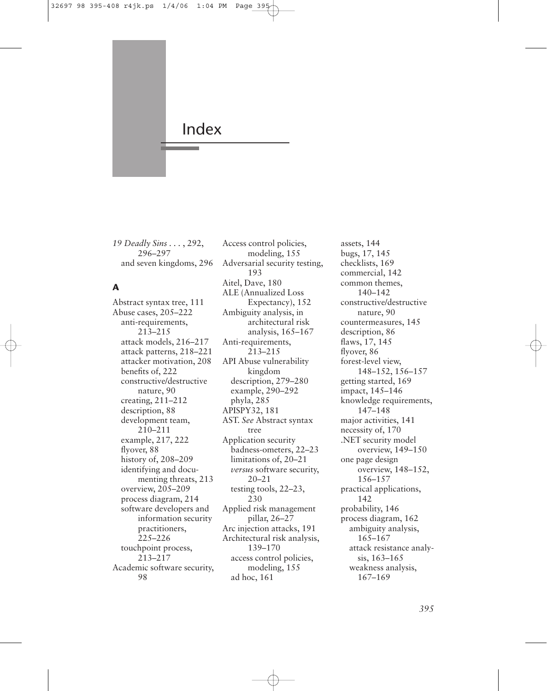

*19 Deadly Sins . . .* , 292, 296–297 and seven kingdoms, 296

# **A**

Abstract syntax tree, 111 Abuse cases, 205–222 anti-requirements, 213–215 attack models, 216–217 attack patterns, 218–221 attacker motivation, 208 benefits of, 222 constructive/destructive nature, 90 creating, 211–212 description, 88 development team, 210–211 example, 217, 222 flyover, 88 history of, 208–209 identifying and documenting threats, 213 overview, 205–209 process diagram, 214 software developers and information security practitioners, 225–226 touchpoint process, 213–217 Academic software security, 98

Access control policies, modeling, 155 Adversarial security testing, 193 Aitel, Dave, 180 ALE (Annualized Loss Expectancy), 152 Ambiguity analysis, in architectural risk analysis, 165–167 Anti-requirements, 213–215 API Abuse vulnerability kingdom description, 279–280 example, 290–292 phyla, 285 APISPY32, 181 AST. *See* Abstract syntax tree Application security badness-ometers, 22–23 limitations of, 20–21 *versus* software security, 20–21 testing tools, 22–23, 230 Applied risk management pillar, 26–27 Arc injection attacks, 191 Architectural risk analysis, 139–170 access control policies, modeling, 155 ad hoc, 161

assets, 144 bugs, 17, 145 checklists, 169 commercial, 142 common themes, 140–142 constructive/destructive nature, 90 countermeasures, 145 description, 86 flaws, 17, 145 flyover, 86 forest-level view, 148–152, 156–157 getting started, 169 impact, 145–146 knowledge requirements, 147–148 major activities, 141 necessity of, 170 .NET security model overview, 149–150 one page design overview, 148–152, 156–157 practical applications, 142 probability, 146 process diagram, 162 ambiguity analysis, 165–167 attack resistance analysis, 163–165 weakness analysis, 167–169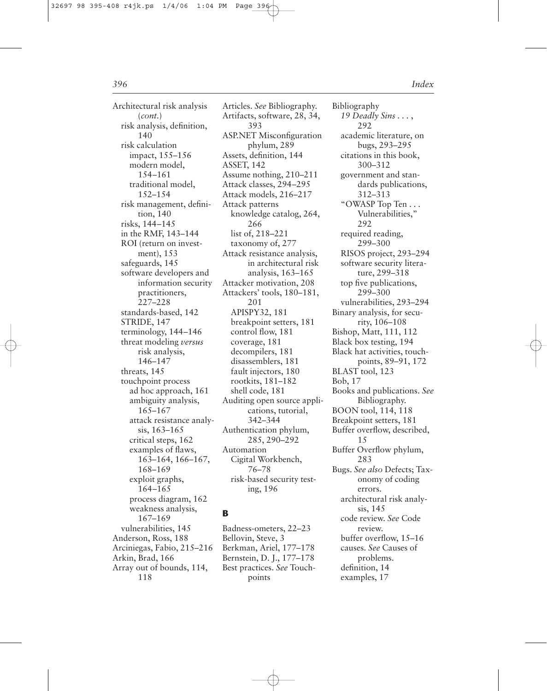Architectural risk analysis (*cont.*) risk analysis, definition, 140 risk calculation impact, 155–156 modern model, 154–161 traditional model, 152–154 risk management, definition, 140 risks, 144–145 in the RMF, 143–144 ROI (return on investment), 153 safeguards, 145 software developers and information security practitioners, 227–228 standards-based, 142 STRIDE, 147 terminology, 144–146 threat modeling *versus* risk analysis, 146–147 threats, 145 touchpoint process ad hoc approach, 161 ambiguity analysis, 165–167 attack resistance analysis, 163–165 critical steps, 162 examples of flaws, 163–164, 166–167, 168–169 exploit graphs, 164–165 process diagram, 162 weakness analysis, 167–169 vulnerabilities, 145 Anderson, Ross, 188 Arciniegas, Fabio, 215–216 Arkin, Brad, 166 Array out of bounds, 114, 118

Articles. *See* Bibliography. Artifacts, software, 28, 34, 393 ASP.NET Misconfiguration phylum, 289 Assets, definition, 144 ASSET, 142 Assume nothing, 210–211 Attack classes, 294–295 Attack models, 216–217 Attack patterns knowledge catalog, 264, 266 list of, 218–221 taxonomy of, 277 Attack resistance analysis, in architectural risk analysis, 163–165 Attacker motivation, 208 Attackers' tools, 180–181, 201 APISPY32, 181 breakpoint setters, 181 control flow, 181 coverage, 181 decompilers, 181 disassemblers, 181 fault injectors, 180 rootkits, 181–182 shell code, 181 Auditing open source applications, tutorial, 342–344 Authentication phylum, 285, 290–292 Automation Cigital Workbench, 76–78 risk-based security testing, 196

## **B**

Badness-ometers, 22–23 Bellovin, Steve, 3 Berkman, Ariel, 177–178 Bernstein, D. J., 177–178 Best practices. *See* Touchpoints

Bibliography *19 Deadly Sins . . .* , 292 academic literature, on bugs, 293–295 citations in this book, 300–312 government and standards publications, 312–313 "OWASP Top Ten . . . Vulnerabilities," 292 required reading, 299–300 RISOS project, 293–294 software security literature, 299–318 top five publications, 299–300 vulnerabilities, 293–294 Binary analysis, for security, 106–108 Bishop, Matt, 111, 112 Black box testing, 194 Black hat activities, touchpoints, 89–91, 172 BLAST tool, 123 Bob, 17 Books and publications. *See* Bibliography. BOON tool, 114, 118 Breakpoint setters, 181 Buffer overflow, described, 15 Buffer Overflow phylum, 283 Bugs. *See also* Defects; Taxonomy of coding errors. architectural risk analysis, 145 code review. *See* Code review. buffer overflow, 15–16 causes. *See* Causes of problems. definition, 14 examples, 17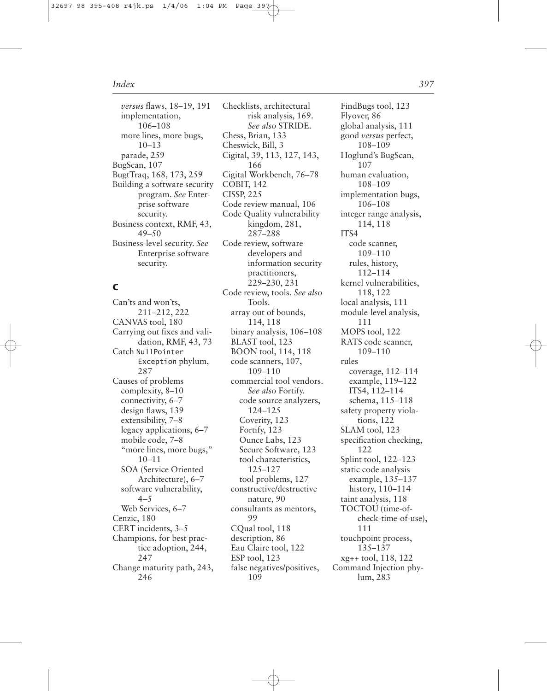*versus* flaws, 18–19, 191 implementation, 106–108 more lines, more bugs, 10–13 parade, 259 BugScan, 107 BugtTraq, 168, 173, 259 Building a software security program. *See* Enterprise software security. Business context, RMF, 43, 49–50 Business-level security. *See* Enterprise software security.

# **C**

Can'ts and won'ts, 211–212, 222 CANVAS tool, 180 Carrying out fixes and validation, RMF, 43, 73 Catch NullPointer Exception phylum, 287 Causes of problems complexity, 8–10 connectivity, 6–7 design flaws, 139 extensibility, 7–8 legacy applications, 6–7 mobile code, 7–8 "more lines, more bugs," 10–11 SOA (Service Oriented Architecture), 6–7 software vulnerability,  $4 - 5$ Web Services, 6–7 Cenzic, 180 CERT incidents, 3–5 Champions, for best practice adoption, 244, 247 Change maturity path, 243, 246

Checklists, architectural risk analysis, 169. *See also* STRIDE. Chess, Brian, 133 Cheswick, Bill, 3 Cigital, 39, 113, 127, 143, 166 Cigital Workbench, 76–78 COBIT, 142 CISSP, 225 Code review manual, 106 Code Quality vulnerability kingdom, 281, 287–288 Code review, software developers and information security practitioners, 229–230, 231 Code review, tools. *See also* Tools. array out of bounds, 114, 118 binary analysis, 106–108 BLAST tool, 123 BOON tool, 114, 118 code scanners, 107, 109–110 commercial tool vendors. *See also* Fortify. code source analyzers, 124–125 Coverity, 123 Fortify, 123 Ounce Labs, 123 Secure Software, 123 tool characteristics, 125–127 tool problems, 127 constructive/destructive nature, 90 consultants as mentors, 99 CQual tool, 118 description, 86 Eau Claire tool, 122 ESP tool, 123 false negatives/positives, 109

FindBugs tool, 123 Flyover, 86 global analysis, 111 good *versus* perfect, 108–109 Hoglund's BugScan, 107 human evaluation, 108–109 implementation bugs, 106–108 integer range analysis, 114, 118 ITS4 code scanner, 109–110 rules, history, 112–114 kernel vulnerabilities, 118, 122 local analysis, 111 module-level analysis, 111 MOPS tool, 122 RATS code scanner, 109–110 rules coverage, 112–114 example, 119–122 ITS4, 112–114 schema, 115–118 safety property violations, 122 SLAM tool, 123 specification checking, 122 Splint tool, 122–123 static code analysis example, 135–137 history, 110–114 taint analysis, 118 TOCTOU (time-ofcheck-time-of-use), 111 touchpoint process, 135–137 xg++ tool, 118, 122 Command Injection phylum, 283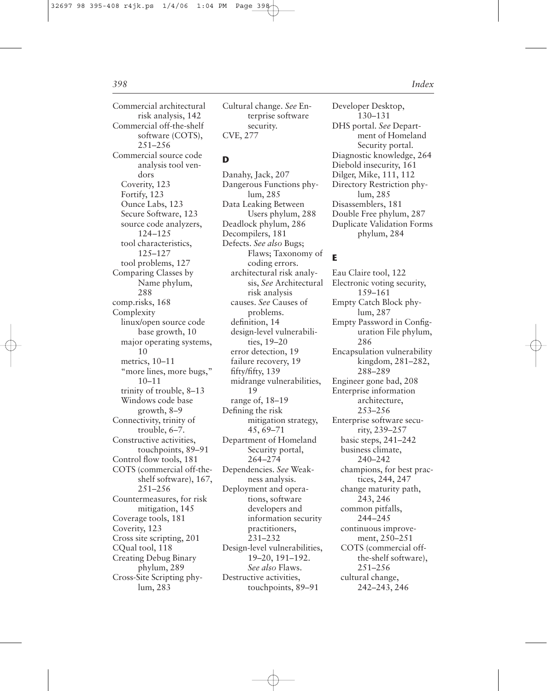Commercial architectural risk analysis, 142 Commercial off-the-shelf software (COTS), 251–256 Commercial source code analysis tool vendors Coverity, 123 Fortify, 123 Ounce Labs, 123 Secure Software, 123 source code analyzers, 124–125 tool characteristics, 125–127 tool problems, 127 Comparing Classes by Name phylum, 288 comp.risks, 168 Complexity linux/open source code base growth, 10 major operating systems, 10 metrics, 10–11 "more lines, more bugs," 10–11 trinity of trouble, 8–13 Windows code base growth, 8–9 Connectivity, trinity of trouble, 6–7. Constructive activities, touchpoints, 89–91 Control flow tools, 181 COTS (commercial off-theshelf software), 167, 251–256 Countermeasures, for risk mitigation, 145 Coverage tools, 181 Coverity, 123 Cross site scripting, 201 CQual tool, 118 Creating Debug Binary phylum, 289 Cross-Site Scripting phylum, 283

Cultural change. *See* Enterprise software security. CVE, 277

## **D**

Danahy, Jack, 207 Dangerous Functions phylum, 285 Data Leaking Between Users phylum, 288 Deadlock phylum, 286 Decompilers, 181 Defects. *See also* Bugs; Flaws; Taxonomy of coding errors. architectural risk analysis, *See* Architectural risk analysis causes. *See* Causes of problems. definition, 14 design-level vulnerabilities, 19–20 error detection, 19 failure recovery, 19 fifty/fifty, 139 midrange vulnerabilities, 19 range of, 18–19 Defining the risk mitigation strategy, 45, 69–71 Department of Homeland Security portal, 264–274 Dependencies. *See* Weakness analysis. Deployment and operations, software developers and information security practitioners, 231–232 Design-level vulnerabilities, 19–20, 191–192. *See also* Flaws. Destructive activities, touchpoints, 89–91

Developer Desktop, 130–131 DHS portal. *See* Department of Homeland Security portal. Diagnostic knowledge, 264 Diebold insecurity, 161 Dilger, Mike, 111, 112 Directory Restriction phylum, 285 Disassemblers, 181 Double Free phylum, 287 Duplicate Validation Forms phylum, 284

## **E**

Eau Claire tool, 122 Electronic voting security, 159–161 Empty Catch Block phylum, 287 Empty Password in Configuration File phylum, 286 Encapsulation vulnerability kingdom, 281–282, 288–289 Engineer gone bad, 208 Enterprise information architecture, 253–256 Enterprise software security, 239–257 basic steps, 241–242 business climate, 240–242 champions, for best practices, 244, 247 change maturity path, 243, 246 common pitfalls, 244–245 continuous improvement, 250–251 COTS (commercial offthe-shelf software), 251–256 cultural change, 242–243, 246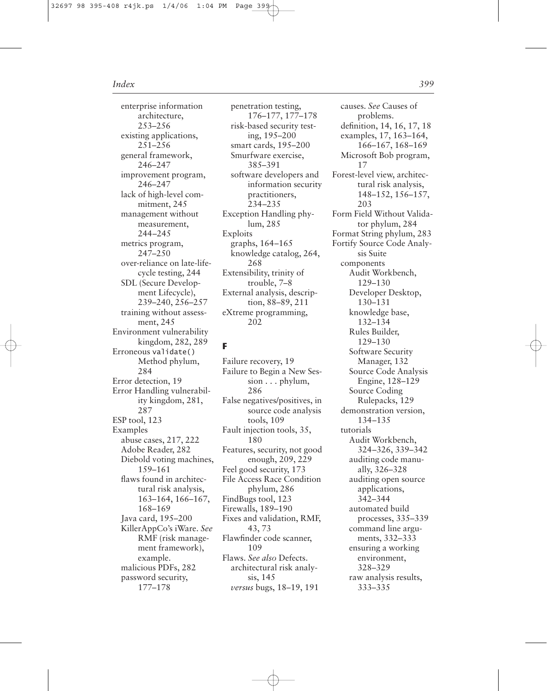enterprise information architecture, 253–256 existing applications, 251–256 general framework, 246–247 improvement program, 246–247 lack of high-level commitment, 245 management without measurement, 244–245 metrics program, 247–250 over-reliance on late-lifecycle testing, 244 SDL (Secure Development Lifecycle), 239–240, 256–257 training without assessment, 245 Environment vulnerability kingdom, 282, 289 Erroneous validate() Method phylum, 284 Error detection, 19 Error Handling vulnerability kingdom, 281, 287 ESP tool, 123 Examples abuse cases, 217, 222 Adobe Reader, 282 Diebold voting machines, 159–161 flaws found in architectural risk analysis, 163–164, 166–167, 168–169 Java card, 195–200 KillerAppCo's iWare. *See* RMF (risk management framework), example. malicious PDFs, 282 password security, 177–178

penetration testing, 176–177, 177–178 risk-based security testing, 195–200 smart cards, 195–200 Smurfware exercise, 385–391 software developers and information security practitioners, 234–235 Exception Handling phylum, 285 Exploits graphs, 164–165 knowledge catalog, 264, 268 Extensibility, trinity of trouble, 7–8 External analysis, description, 88–89, 211 eXtreme programming, 202

# **F**

Failure recovery, 19 Failure to Begin a New Session . . . phylum, 286 False negatives/positives, in source code analysis tools, 109 Fault injection tools, 35, 180 Features, security, not good enough, 209, 229 Feel good security, 173 File Access Race Condition phylum, 286 FindBugs tool, 123 Firewalls, 189–190 Fixes and validation, RMF, 43, 73 Flawfinder code scanner, 109 Flaws. *See also* Defects. architectural risk analysis, 145 *versus* bugs, 18–19, 191

causes. *See* Causes of problems. definition, 14, 16, 17, 18 examples, 17, 163–164, 166–167, 168–169 Microsoft Bob program, 17 Forest-level view, architectural risk analysis, 148–152, 156–157, 203 Form Field Without Validator phylum, 284 Format String phylum, 283 Fortify Source Code Analysis Suite components Audit Workbench, 129–130 Developer Desktop, 130–131 knowledge base, 132–134 Rules Builder, 129–130 Software Security Manager, 132 Source Code Analysis Engine, 128–129 Source Coding Rulepacks, 129 demonstration version, 134–135 tutorials Audit Workbench, 324–326, 339–342 auditing code manually, 326–328 auditing open source applications, 342–344 automated build processes, 335–339 command line arguments, 332–333 ensuring a working environment, 328–329 raw analysis results, 333–335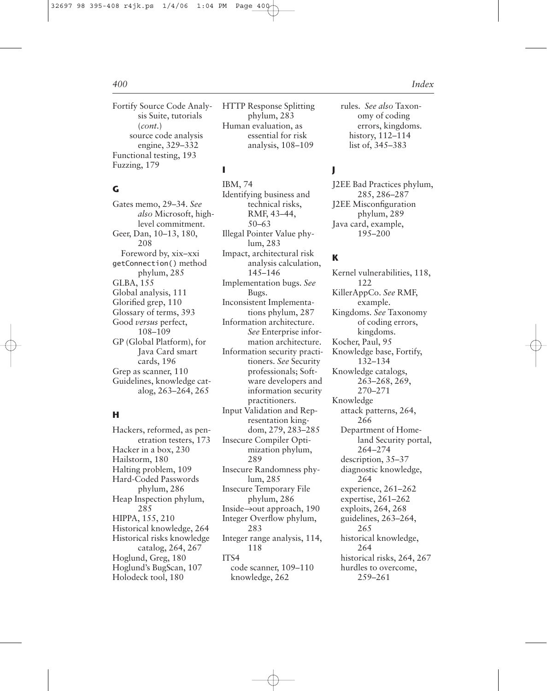Fortify Source Code Analysis Suite, tutorials (*cont.*) source code analysis engine, 329–332 Functional testing, 193 Fuzzing, 179

## **G**

Gates memo, 29–34. *See also* Microsoft, highlevel commitment. Geer, Dan, 10–13, 180, 208 Foreword by, xix–xxi getConnection() method phylum, 285 GLBA, 155 Global analysis, 111 Glorified grep, 110 Glossary of terms, 393 Good *versus* perfect, 108–109 GP (Global Platform), for Java Card smart cards, 196 Grep as scanner, 110 Guidelines, knowledge catalog, 263–264, 265

# **H**

Hackers, reformed, as penetration testers, 173 Hacker in a box, 230 Hailstorm, 180 Halting problem, 109 Hard-Coded Passwords phylum, 286 Heap Inspection phylum, 285 HIPPA, 155, 210 Historical knowledge, 264 Historical risks knowledge catalog, 264, 267 Hoglund, Greg, 180 Hoglund's BugScan, 107 Holodeck tool, 180

HTTP Response Splitting phylum, 283 Human evaluation, as essential for risk analysis, 108–109

## **I**

IBM, 74 Identifying business and technical risks, RMF, 43–44, 50–63 Illegal Pointer Value phylum, 283 Impact, architectural risk analysis calculation, 145–146 Implementation bugs. *See* Bugs. Inconsistent Implementations phylum, 287 Information architecture. *See* Enterprise information architecture. Information security practitioners. *See* Security professionals; Software developers and information security practitioners. Input Validation and Representation kingdom, 279, 283–285 Insecure Compiler Optimization phylum, 289 Insecure Randomness phylum, 285 Insecure Temporary File phylum, 286 Inside→out approach, 190 Integer Overflow phylum, 283 Integer range analysis, 114, 118 ITS4 code scanner, 109–110 knowledge, 262

rules. *See also* Taxonomy of coding errors, kingdoms. history, 112–114 list of, 345–383

# **J**

J2EE Bad Practices phylum, 285, 286–287 J2EE Misconfiguration phylum, 289 Java card, example, 195–200

## **K**

Kernel vulnerabilities, 118, 122 KillerAppCo. *See* RMF, example. Kingdoms. *See* Taxonomy of coding errors, kingdoms. Kocher, Paul, 95 Knowledge base, Fortify, 132–134 Knowledge catalogs, 263–268, 269, 270–271 Knowledge attack patterns, 264, 266 Department of Homeland Security portal, 264–274 description, 35–37 diagnostic knowledge, 264 experience, 261–262 expertise, 261–262 exploits, 264, 268 guidelines, 263–264, 265 historical knowledge, 264 historical risks, 264, 267 hurdles to overcome, 259–261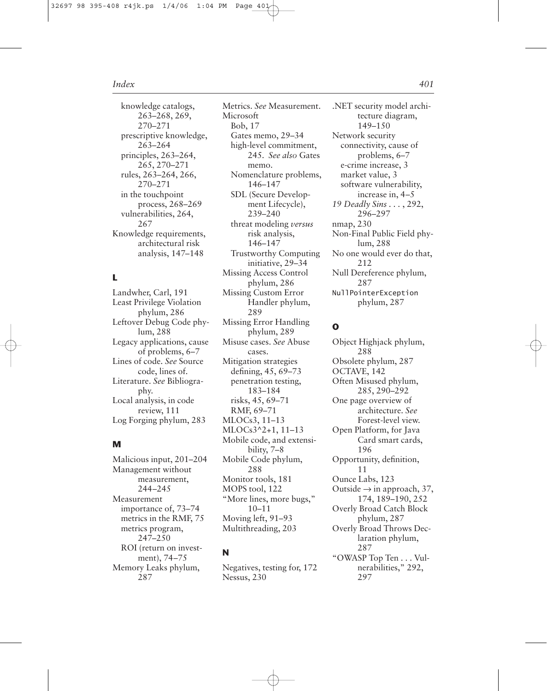knowledge catalogs, 263–268, 269, 270–271 prescriptive knowledge, 263–264 principles, 263–264, 265, 270–271 rules, 263–264, 266, 270–271 in the touchpoint process, 268–269 vulnerabilities, 264, 267 Knowledge requirements, architectural risk analysis, 147–148

# **L**

Landwher, Carl, 191 Least Privilege Violation phylum, 286 Leftover Debug Code phylum, 288 Legacy applications, cause of problems, 6–7 Lines of code. *See* Source code, lines of. Literature. *See* Bibliography. Local analysis, in code review, 111 Log Forging phylum, 283

# **M**

Malicious input, 201–204 Management without measurement, 244–245 Measurement importance of, 73–74 metrics in the RMF, 75 metrics program, 247–250 ROI (return on investment), 74–75 Memory Leaks phylum, 287

Metrics. *See* Measurement. Microsoft Bob, 17 Gates memo, 29–34 high-level commitment, 245. *See also* Gates memo. Nomenclature problems, 146–147 SDL (Secure Development Lifecycle), 239–240 threat modeling *versus* risk analysis, 146–147 Trustworthy Computing initiative, 29–34 Missing Access Control phylum, 286 Missing Custom Error Handler phylum, 289 Missing Error Handling phylum, 289 Misuse cases. *See* Abuse cases. Mitigation strategies defining, 45, 69–73 penetration testing, 183–184 risks, 45, 69–71 RMF, 69–71 MLOCs3, 11–13 MLOCs3^2+1, 11–13 Mobile code, and extensibility, 7–8 Mobile Code phylum, 288 Monitor tools, 181 MOPS tool, 122 "More lines, more bugs,"

10–11 Moving left, 91–93 Multithreading, 203

## **N**

Negatives, testing for, 172 Nessus, 230

.NET security model architecture diagram, 149–150 Network security connectivity, cause of problems, 6–7 e-crime increase, 3 market value, 3 software vulnerability, increase in, 4–5 *19 Deadly Sins . . .* , 292, 296–297 nmap, 230 Non-Final Public Field phylum, 288 No one would ever do that, 212 Null Dereference phylum, 287 NullPointerException phylum, 287

## **O**

Object Highjack phylum, 288 Obsolete phylum, 287 OCTAVE, 142 Often Misused phylum, 285, 290–292 One page overview of architecture. *See* Forest-level view. Open Platform, for Java Card smart cards, 196 Opportunity, definition, 11 Ounce Labs, 123 Outside  $\rightarrow$  in approach, 37, 174, 189–190, 252 Overly Broad Catch Block phylum, 287 Overly Broad Throws Declaration phylum, 287 "OWASP Top Ten . . . Vulnerabilities," 292, 297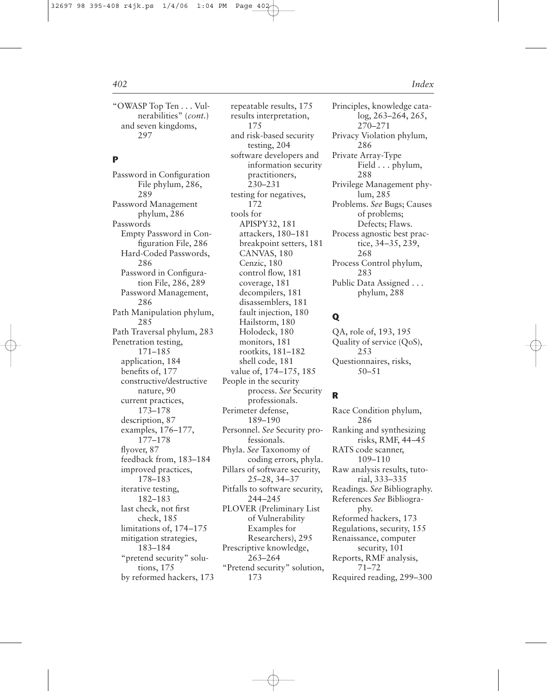"OWASP Top Ten . . . Vulnerabilities" (*cont.*) and seven kingdoms, 297

## **P**

Password in Configuration File phylum, 286, 289 Password Management phylum, 286 Passwords Empty Password in Configuration File, 286 Hard-Coded Passwords, 286 Password in Configuration File, 286, 289 Password Management, 286 Path Manipulation phylum, 285 Path Traversal phylum, 283 Penetration testing, 171–185 application, 184 benefits of, 177 constructive/destructive nature, 90 current practices, 173–178 description, 87 examples, 176–177, 177–178 flyover, 87 feedback from, 183–184 improved practices, 178–183 iterative testing, 182–183 last check, not first check, 185 limitations of, 174–175 mitigation strategies, 183–184 "pretend security" solutions, 175 by reformed hackers, 173

repeatable results, 175 results interpretation, 175 and risk-based security testing, 204 software developers and information security practitioners, 230–231 testing for negatives, 172 tools for APISPY32, 181 attackers, 180–181 breakpoint setters, 181 CANVAS, 180 Cenzic, 180 control flow, 181 coverage, 181 decompilers, 181 disassemblers, 181 fault injection, 180 Hailstorm, 180 Holodeck, 180 monitors, 181 rootkits, 181–182 shell code, 181 value of, 174–175, 185 People in the security process. *See* Security professionals. Perimeter defense, 189–190 Personnel. *See* Security professionals. Phyla. *See* Taxonomy of coding errors, phyla. Pillars of software security, 25–28, 34–37 Pitfalls to software security, 244–245 PLOVER (Preliminary List of Vulnerability Examples for Researchers), 295 Prescriptive knowledge, 263–264 "Pretend security" solution, 173

Principles, knowledge catalog, 263–264, 265, 270–271 Privacy Violation phylum, 286 Private Array-Type Field . . . phylum, 288 Privilege Management phylum, 285 Problems. *See* Bugs; Causes of problems; Defects; Flaws. Process agnostic best practice, 34–35, 239, 268 Process Control phylum, 283 Public Data Assigned . . . phylum, 288

# **Q**

QA, role of, 193, 195 Quality of service (QoS), 253 Questionnaires, risks, 50–51

## **R**

Race Condition phylum, 286 Ranking and synthesizing risks, RMF, 44–45 RATS code scanner, 109–110 Raw analysis results, tutorial, 333–335 Readings. *See* Bibliography. References *See* Bibliography. Reformed hackers, 173 Regulations, security, 155 Renaissance, computer security, 101 Reports, RMF analysis, 71–72 Required reading, 299–300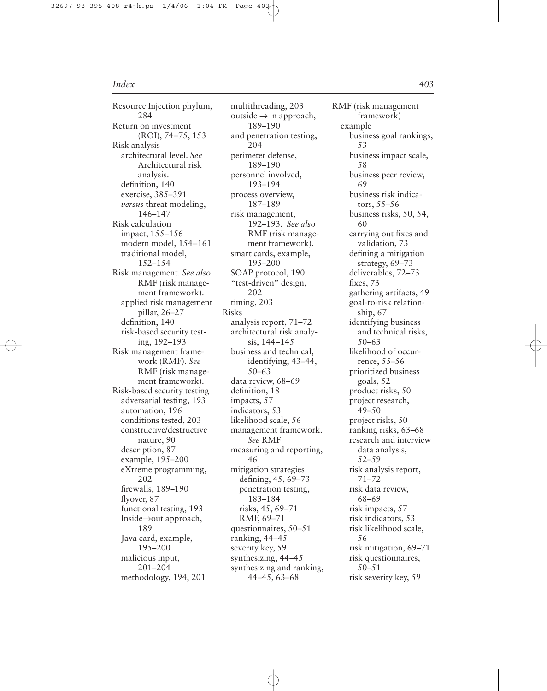Resource Injection phylum, 284 Return on investment (ROI), 74–75, 153 Risk analysis architectural level. *See* Architectural risk analysis. definition, 140 exercise, 385–391 *versus* threat modeling, 146–147 Risk calculation impact, 155–156 modern model, 154–161 traditional model, 152–154 Risk management. *See also* RMF (risk management framework). applied risk management pillar, 26–27 definition, 140 risk-based security testing, 192–193 Risk management framework (RMF). *See* RMF (risk management framework). Risk-based security testing adversarial testing, 193 automation, 196 conditions tested, 203 constructive/destructive nature, 90 description, 87 example, 195–200 eXtreme programming, 202 firewalls, 189–190 flyover, 87 functional testing, 193 Inside→out approach, 189 Java card, example, 195–200 malicious input, 201–204 methodology, 194, 201

multithreading, 203 outside  $\rightarrow$  in approach, 189–190 and penetration testing, 204 perimeter defense, 189–190 personnel involved, 193–194 process overview, 187–189 risk management, 192–193. *See also* RMF (risk management framework). smart cards, example, 195–200 SOAP protocol, 190 "test-driven" design, 202 timing, 203 Risks analysis report, 71–72 architectural risk analysis, 144–145 business and technical, identifying, 43–44, 50–63 data review, 68–69 definition, 18 impacts, 57 indicators, 53 likelihood scale, 56 management framework. *See* RMF measuring and reporting, 46 mitigation strategies defining, 45, 69–73 penetration testing, 183–184 risks, 45, 69–71 RMF, 69–71 questionnaires, 50–51 ranking, 44–45 severity key, 59 synthesizing, 44–45 synthesizing and ranking, 44–45, 63–68

RMF (risk management framework) example business goal rankings, 53 business impact scale, 58 business peer review, 69 business risk indicators, 55–56 business risks, 50, 54, 60 carrying out fixes and validation, 73 defining a mitigation strategy, 69–73 deliverables, 72–73 fixes, 73 gathering artifacts, 49 goal-to-risk relationship, 67 identifying business and technical risks, 50–63 likelihood of occurrence, 55–56 prioritized business goals, 52 product risks, 50 project research, 49–50 project risks, 50 ranking risks, 63–68 research and interview data analysis, 52–59 risk analysis report, 71–72 risk data review, 68–69 risk impacts, 57 risk indicators, 53 risk likelihood scale, 56 risk mitigation, 69–71 risk questionnaires, 50–51 risk severity key, 59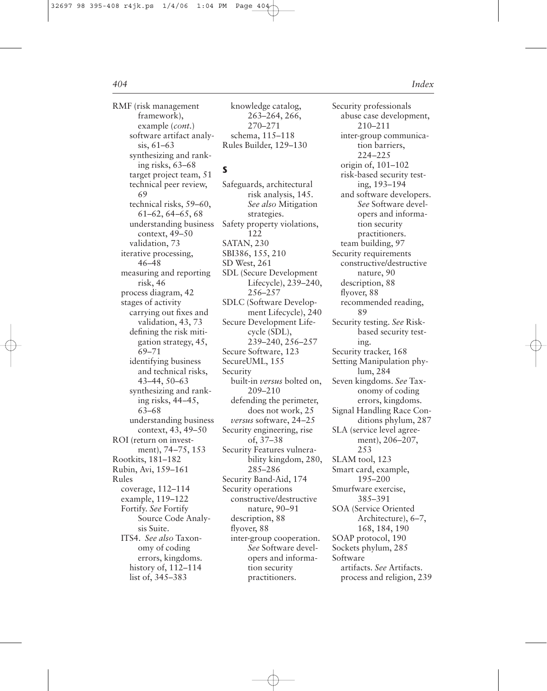RMF (risk management framework), example (*cont.*) software artifact analysis, 61–63 synthesizing and ranking risks, 63–68 target project team, 51 technical peer review, 69 technical risks, 59–60, 61–62, 64–65, 68 understanding business context, 49–50 validation, 73 iterative processing, 46–48 measuring and reporting risk, 46 process diagram, 42 stages of activity carrying out fixes and validation, 43, 73 defining the risk mitigation strategy, 45, 69–71 identifying business and technical risks, 43–44, 50–63 synthesizing and ranking risks, 44–45, 63–68 understanding business context, 43, 49–50 ROI (return on investment), 74–75, 153 Rootkits, 181–182 Rubin, Avi, 159–161 Rules coverage, 112–114 example, 119–122 Fortify. *See* Fortify Source Code Analysis Suite. ITS4. *See also* Taxonomy of coding errors, kingdoms. history of, 112–114 list of, 345–383

knowledge catalog, 263–264, 266, 270–271 schema, 115–118 Rules Builder, 129–130

# **S**

Safeguards, architectural risk analysis, 145. *See also* Mitigation strategies. Safety property violations, 122 SATAN, 230 SBI386, 155, 210 SD West, 261 SDL (Secure Development Lifecycle), 239–240, 256–257 SDLC (Software Development Lifecycle), 240 Secure Development Lifecycle (SDL), 239–240, 256–257 Secure Software, 123 SecureUML, 155 Security built-in *versus* bolted on, 209–210 defending the perimeter, does not work, 25 *versus* software, 24–25 Security engineering, rise of, 37–38 Security Features vulnerability kingdom, 280, 285–286 Security Band-Aid, 174 Security operations constructive/destructive nature, 90–91 description, 88 flyover, 88 inter-group cooperation. *See* Software developers and information security practitioners.

Security professionals abuse case development, 210–211 inter-group communication barriers, 224–225 origin of, 101–102 risk-based security testing, 193–194 and software developers. *See* Software developers and information security practitioners. team building, 97 Security requirements constructive/destructive nature, 90 description, 88 flyover, 88 recommended reading, 89 Security testing. *See* Riskbased security testing. Security tracker, 168 Setting Manipulation phylum, 284 Seven kingdoms. *See* Taxonomy of coding errors, kingdoms. Signal Handling Race Conditions phylum, 287 SLA (service level agreement), 206–207, 253 SLAM tool, 123 Smart card, example, 195–200 Smurfware exercise, 385–391 SOA (Service Oriented Architecture), 6–7, 168, 184, 190 SOAP protocol, 190 Sockets phylum, 285 Software artifacts. *See* Artifacts. process and religion, 239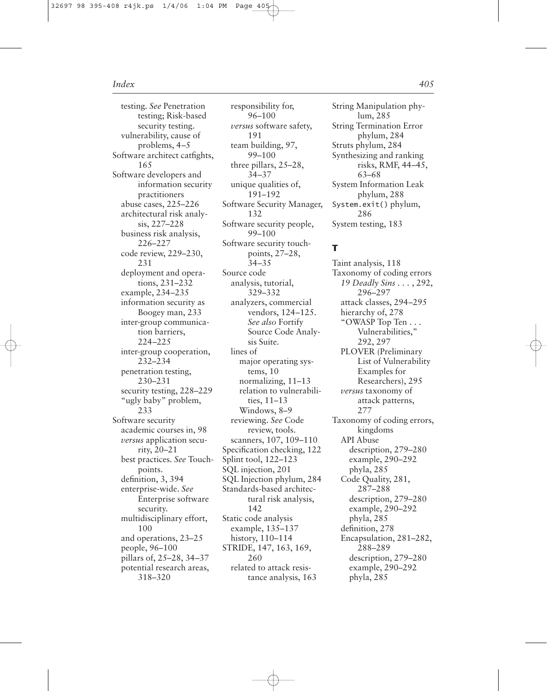testing. *See* Penetration testing; Risk-based security testing. vulnerability, cause of problems, 4–5 Software architect catfights, 165 Software developers and information security practitioners abuse cases, 225–226 architectural risk analysis, 227–228 business risk analysis, 226–227 code review, 229–230, 231 deployment and operations, 231–232 example, 234–235 information security as Boogey man, 233 inter-group communication barriers, 224–225 inter-group cooperation, 232–234 penetration testing, 230–231 security testing, 228–229 "ugly baby" problem, 233 Software security academic courses in, 98 *versus* application security, 20–21 best practices. *See* Touchpoints. definition, 3, 394 enterprise-wide. *See* Enterprise software security. multidisciplinary effort, 100 and operations, 23–25 people, 96–100 pillars of, 25–28, 34–37 potential research areas, 318–320

responsibility for, 96–100 *versus* software safety, 191 team building, 97, 99–100 three pillars, 25–28, 34–37 unique qualities of, 191–192 Software Security Manager, 132 Software security people, 99–100 Software security touchpoints, 27–28, 34–35 Source code analysis, tutorial, 329–332 analyzers, commercial vendors, 124–125. *See also* Fortify Source Code Analysis Suite. lines of major operating systems, 10 normalizing, 11–13 relation to vulnerabilities, 11–13 Windows, 8–9 reviewing. *See* Code review, tools. scanners, 107, 109–110 Specification checking, 122 Splint tool, 122–123 SQL injection, 201 SQL Injection phylum, 284 Standards-based architectural risk analysis, 142 Static code analysis example, 135–137 history, 110–114 STRIDE, 147, 163, 169, 260 related to attack resistance analysis, 163

String Manipulation phylum, 285 String Termination Error phylum, 284 Struts phylum, 284 Synthesizing and ranking risks, RMF, 44–45, 63–68 System Information Leak phylum, 288 System.exit() phylum, 286 System testing, 183

# **T**

Taint analysis, 118 Taxonomy of coding errors *19 Deadly Sins . . .* , 292, 296–297 attack classes, 294–295 hierarchy of, 278 "OWASP Top Ten . . . Vulnerabilities," 292, 297 PLOVER (Preliminary List of Vulnerability Examples for Researchers), 295 *versus* taxonomy of attack patterns, 277 Taxonomy of coding errors, kingdoms API Abuse description, 279–280 example, 290–292 phyla, 285 Code Quality, 281, 287–288 description, 279–280 example, 290–292 phyla, 285 definition, 278 Encapsulation, 281–282, 288–289 description, 279–280 example, 290–292 phyla, 285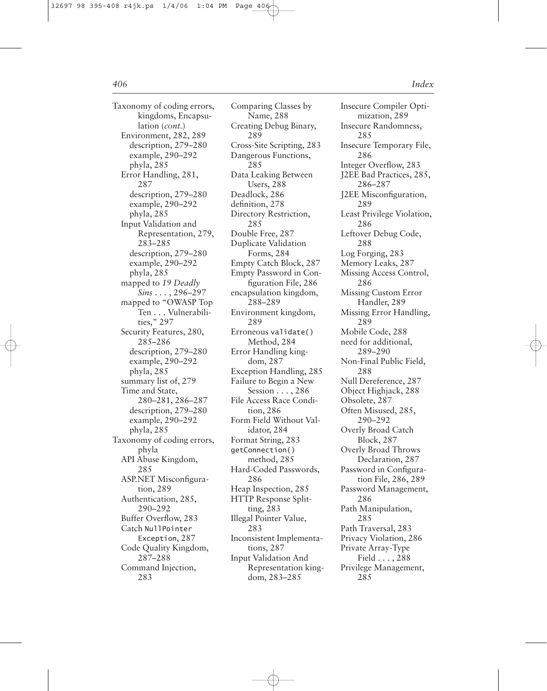Taxonomy of coding errors, kingdoms, Encapsulation (*cont.*) Environment, 282, 289 description, 279–280 example, 290–292 phyla, 285 Error Handling, 281, 287 description, 279–280 example, 290–292 phyla, 285 Input Validation and Representation, 279, 283–285 description, 279–280 example, 290–292 phyla, 285 mapped to *19 Deadly Sins . . .* , 296–297 mapped to "OWASP Top Ten . . . Vulnerabilities," 297 Security Features, 280, 285–286 description, 279–280 example, 290–292 phyla, 285 summary list of, 279 Time and State, 280–281, 286–287 description, 279–280 example, 290–292 phyla, 285 Taxonomy of coding errors, phyla API Abuse Kingdom, 285 ASP.NET Misconfiguration, 289 Authentication, 285, 290–292 Buffer Overflow, 283 Catch NullPointer Exception, 287 Code Quality Kingdom, 287–288 Command Injection, 283

Comparing Classes by Name, 288 Creating Debug Binary, 289 Cross-Site Scripting, 283 Dangerous Functions, 285 Data Leaking Between Users, 288 Deadlock, 286 definition, 278 Directory Restriction, 285 Double Free, 287 Duplicate Validation Forms, 284 Empty Catch Block, 287 Empty Password in Configuration File, 286 encapsulation kingdom, 288–289 Environment kingdom, 289 Erroneous validate() Method, 284 Error Handling kingdom, 287 Exception Handling, 285 Failure to Begin a New Session . . . , 286 File Access Race Condition, 286 Form Field Without Validator, 284 Format String, 283 getConnection() method, 285 Hard-Coded Passwords, 286 Heap Inspection, 285 HTTP Response Splitting, 283 Illegal Pointer Value, 283 Inconsistent Implementations, 287 Input Validation And Representation kingdom, 283–285

Insecure Compiler Optimization, 289 Insecure Randomness, 285 Insecure Temporary File, 286 Integer Overflow, 283 J2EE Bad Practices, 285, 286–287 J2EE Misconfiguration, 289 Least Privilege Violation, 286 Leftover Debug Code, 288 Log Forging, 283 Memory Leaks, 287 Missing Access Control, 286 Missing Custom Error Handler, 289 Missing Error Handling, 289 Mobile Code, 288 need for additional, 289–290 Non-Final Public Field, 288 Null Dereference, 287 Object Highjack, 288 Obsolete, 287 Often Misused, 285, 290–292 Overly Broad Catch Block, 287 Overly Broad Throws Declaration, 287 Password in Configuration File, 286, 289 Password Management, 286 Path Manipulation, 285 Path Traversal, 283 Privacy Violation, 286 Private Array-Type Field . . . , 288 Privilege Management, 285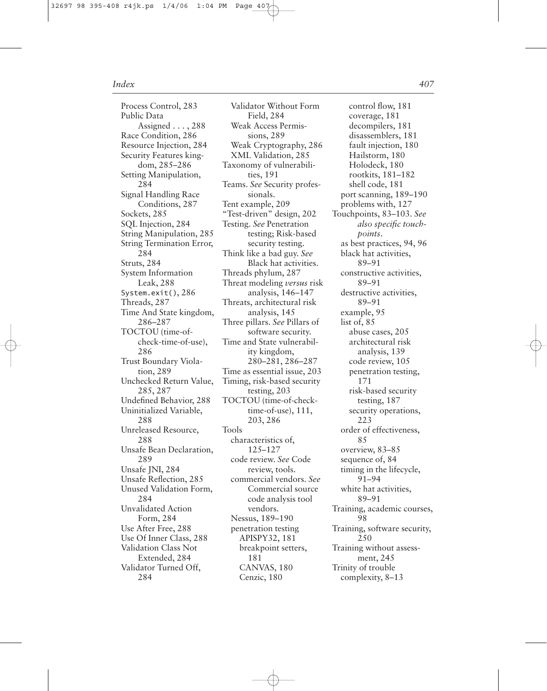Process Control, 283 Public Data Assigned . . . , 288 Race Condition, 286 Resource Injection, 284 Security Features kingdom, 285–286 Setting Manipulation, 284 Signal Handling Race Conditions, 287 Sockets, 285 SQL Injection, 284 String Manipulation, 285 String Termination Error, 284 Struts, 284 System Information Leak, 288 System.exit(), 286 Threads, 287 Time And State kingdom, 286–287 TOCTOU (time-ofcheck-time-of-use), 286 Trust Boundary Violation, 289 Unchecked Return Value, 285, 287 Undefined Behavior, 288 Uninitialized Variable, 288 Unreleased Resource, 288 Unsafe Bean Declaration, 289 Unsafe JNI, 284 Unsafe Reflection, 285 Unused Validation Form, 284 Unvalidated Action Form, 284 Use After Free, 288 Use Of Inner Class, 288 Validation Class Not Extended, 284 Validator Turned Off, 284

Validator Without Form Field, 284 Weak Access Permissions, 289 Weak Cryptography, 286 XML Validation, 285 Taxonomy of vulnerabilities, 191 Teams. *See* Security professionals. Tent example, 209 "Test-driven" design, 202 Testing. *See* Penetration testing; Risk-based security testing. Think like a bad guy. *See* Black hat activities. Threads phylum, 287 Threat modeling *versus* risk analysis, 146–147 Threats, architectural risk analysis, 145 Three pillars. *See* Pillars of software security. Time and State vulnerability kingdom, 280–281, 286–287 Time as essential issue, 203 Timing, risk-based security testing, 203 TOCTOU (time-of-checktime-of-use), 111, 203, 286 Tools characteristics of, 125–127 code review. *See* Code review, tools. commercial vendors. *See* Commercial source code analysis tool vendors. Nessus, 189–190 penetration testing APISPY32, 181 breakpoint setters, 181 CANVAS, 180 Cenzic, 180

control flow, 181 coverage, 181 decompilers, 181 disassemblers, 181 fault injection, 180 Hailstorm, 180 Holodeck, 180 rootkits, 181–182 shell code, 181 port scanning, 189–190 problems with, 127 Touchpoints, 83–103. *See also specific touchpoints*. as best practices, 94, 96 black hat activities, 89–91 constructive activities, 89–91 destructive activities, 89–91 example, 95 list of, 85 abuse cases, 205 architectural risk analysis, 139 code review, 105 penetration testing, 171 risk-based security testing, 187 security operations, 223 order of effectiveness, 85 overview, 83–85 sequence of, 84 timing in the lifecycle, 91–94 white hat activities, 89–91 Training, academic courses, 98 Training, software security, 250 Training without assessment, 245 Trinity of trouble complexity, 8–13